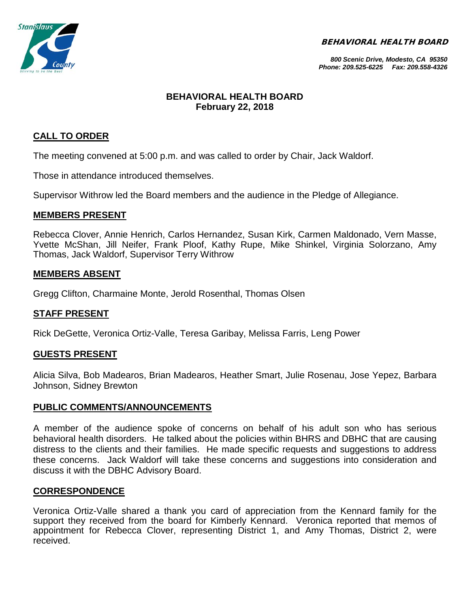BEHAVIORAL HEALTH BOARD



*800 Scenic Drive, Modesto, CA 95350 Phone: 209.525-6225 Fax: 209.558-4326*

# **BEHAVIORAL HEALTH BOARD February 22, 2018**

# **CALL TO ORDER**

The meeting convened at 5:00 p.m. and was called to order by Chair, Jack Waldorf.

Those in attendance introduced themselves.

Supervisor Withrow led the Board members and the audience in the Pledge of Allegiance.

# **MEMBERS PRESENT**

Rebecca Clover, Annie Henrich, Carlos Hernandez, Susan Kirk, Carmen Maldonado, Vern Masse, Yvette McShan, Jill Neifer, Frank Ploof, Kathy Rupe, Mike Shinkel, Virginia Solorzano, Amy Thomas, Jack Waldorf, Supervisor Terry Withrow

# **MEMBERS ABSENT**

Gregg Clifton, Charmaine Monte, Jerold Rosenthal, Thomas Olsen

# **STAFF PRESENT**

Rick DeGette, Veronica Ortiz-Valle, Teresa Garibay, Melissa Farris, Leng Power

# **GUESTS PRESENT**

Alicia Silva, Bob Madearos, Brian Madearos, Heather Smart, Julie Rosenau, Jose Yepez, Barbara Johnson, Sidney Brewton

# **PUBLIC COMMENTS/ANNOUNCEMENTS**

A member of the audience spoke of concerns on behalf of his adult son who has serious behavioral health disorders. He talked about the policies within BHRS and DBHC that are causing distress to the clients and their families. He made specific requests and suggestions to address these concerns. Jack Waldorf will take these concerns and suggestions into consideration and discuss it with the DBHC Advisory Board.

# **CORRESPONDENCE**

Veronica Ortiz-Valle shared a thank you card of appreciation from the Kennard family for the support they received from the board for Kimberly Kennard. Veronica reported that memos of appointment for Rebecca Clover, representing District 1, and Amy Thomas, District 2, were received.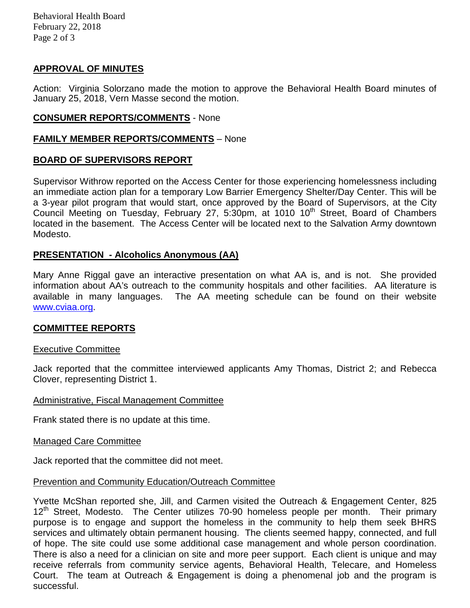Behavioral Health Board February 22, 2018 Page 2 of 3

# **APPROVAL OF MINUTES**

Action: Virginia Solorzano made the motion to approve the Behavioral Health Board minutes of January 25, 2018, Vern Masse second the motion.

### **CONSUMER REPORTS/COMMENTS** - None

### **FAMILY MEMBER REPORTS/COMMENTS** – None

# **BOARD OF SUPERVISORS REPORT**

Supervisor Withrow reported on the Access Center for those experiencing homelessness including an immediate action plan for a temporary Low Barrier Emergency Shelter/Day Center. This will be a 3-year pilot program that would start, once approved by the Board of Supervisors, at the City Council Meeting on Tuesday, February 27, 5:30pm, at 1010 10<sup>th</sup> Street, Board of Chambers located in the basement. The Access Center will be located next to the Salvation Army downtown Modesto.

# **PRESENTATION - Alcoholics Anonymous (AA)**

Mary Anne Riggal gave an interactive presentation on what AA is, and is not. She provided information about AA's outreach to the community hospitals and other facilities. AA literature is available in many languages. The AA meeting schedule can be found on their website [www.cviaa.org.](http://www.cviaa.org/)

#### **COMMITTEE REPORTS**

#### Executive Committee

Jack reported that the committee interviewed applicants Amy Thomas, District 2; and Rebecca Clover, representing District 1.

#### Administrative, Fiscal Management Committee

Frank stated there is no update at this time.

#### Managed Care Committee

Jack reported that the committee did not meet.

#### Prevention and Community Education/Outreach Committee

Yvette McShan reported she, Jill, and Carmen visited the Outreach & Engagement Center, 825  $12<sup>th</sup>$  Street, Modesto. The Center utilizes 70-90 homeless people per month. Their primary purpose is to engage and support the homeless in the community to help them seek BHRS services and ultimately obtain permanent housing. The clients seemed happy, connected, and full of hope. The site could use some additional case management and whole person coordination. There is also a need for a clinician on site and more peer support. Each client is unique and may receive referrals from community service agents, Behavioral Health, Telecare, and Homeless Court. The team at Outreach & Engagement is doing a phenomenal job and the program is successful.